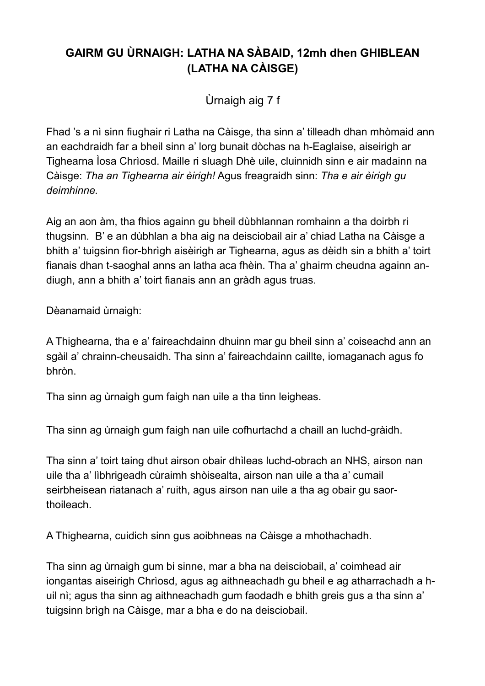## **GAIRM GU ÙRNAIGH: LATHA NA SÀBAID, 12mh dhen GHIBLEAN (LATHA NA CÀISGE)**

Ùrnaigh aig 7 f

Fhad 's a nì sinn fiughair ri Latha na Càisge, tha sinn a' tilleadh dhan mhòmaid ann an eachdraidh far a bheil sinn a' lorg bunait dòchas na h-Eaglaise, aiseirigh ar Tighearna Ìosa Chrìosd. Maille ri sluagh Dhè uile, cluinnidh sinn e air madainn na Càisge: *Tha an Tighearna air èirigh!* Agus freagraidh sinn: *Tha e air èirigh gu deimhinne.*

Aig an aon àm, tha fhios againn gu bheil dùbhlannan romhainn a tha doirbh ri thugsinn. B' e an dùbhlan a bha aig na deisciobail air a' chiad Latha na Càisge a bhith a' tuigsinn fìor-bhrìgh aisèirigh ar Tighearna, agus as dèidh sin a bhith a' toirt fianais dhan t-saoghal anns an latha aca fhèin. Tha a' ghairm cheudna againn andiugh, ann a bhith a' toirt fianais ann an gràdh agus truas.

Dèanamaid ùrnaigh:

A Thighearna, tha e a' faireachdainn dhuinn mar gu bheil sinn a' coiseachd ann an sgàil a' chrainn-cheusaidh. Tha sinn a' faireachdainn caillte, iomaganach agus fo bhròn.

Tha sinn ag ùrnaigh gum faigh nan uile a tha tinn leigheas.

Tha sinn ag ùrnaigh gum faigh nan uile cofhurtachd a chaill an luchd-gràidh.

Tha sinn a' toirt taing dhut airson obair dhìleas luchd-obrach an NHS, airson nan uile tha a' lìbhrigeadh cùraimh shòisealta, airson nan uile a tha a' cumail seirbheisean riatanach a' ruith, agus airson nan uile a tha ag obair gu saorthoileach.

A Thighearna, cuidich sinn gus aoibhneas na Càisge a mhothachadh.

Tha sinn ag ùrnaigh gum bi sinne, mar a bha na deisciobail, a' coimhead air iongantas aiseirigh Chrìosd, agus ag aithneachadh gu bheil e ag atharrachadh a huil nì; agus tha sinn ag aithneachadh gum faodadh e bhith greis gus a tha sinn a' tuigsinn brìgh na Càisge, mar a bha e do na deisciobail.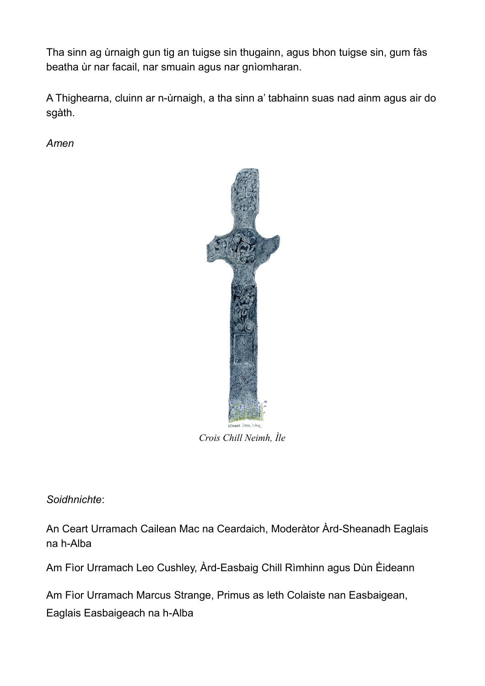Tha sinn ag ùrnaigh gun tig an tuigse sin thugainn, agus bhon tuigse sin, gum fàs beatha ùr nar facail, nar smuain agus nar gnìomharan.

A Thighearna, cluinn ar n-ùrnaigh, a tha sinn a' tabhainn suas nad ainm agus air do sgàth.

*Amen*



*Crois Chill Neimh, Ìle*

*Soidhnichte*:

An Ceart Urramach Cailean Mac na Ceardaich, Moderàtor Àrd-Sheanadh Eaglais na h-Alba

Am Fìor Urramach Leo Cushley, Àrd-Easbaig Chill Rìmhinn agus Dùn Èideann

Am Fìor Urramach Marcus Strange, Primus as leth Colaiste nan Easbaigean, Eaglais Easbaigeach na h-Alba